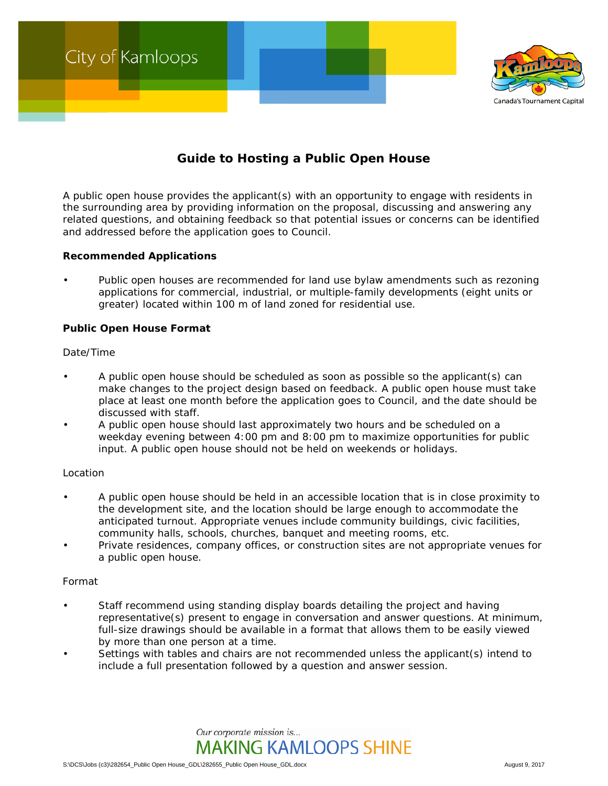

# **Guide to Hosting a Public Open House**

A public open house provides the applicant(s) with an opportunity to engage with residents in the surrounding area by providing information on the proposal, discussing and answering any related questions, and obtaining feedback so that potential issues or concerns can be identified and addressed before the application goes to Council.

### **Recommended Applications**

• Public open houses are recommended for land use bylaw amendments such as rezoning applications for commercial, industrial, or multiple-family developments (eight units or greater) located within 100 m of land zoned for residential use.

## **Public Open House Format**

### *Date/Time*

- A public open house should be scheduled as soon as possible so the applicant(s) can make changes to the project design based on feedback. A public open house must take place at least one month before the application goes to Council, and the date should be discussed with staff.
- A public open house should last approximately two hours and be scheduled on a weekday evening between 4:00 pm and 8:00 pm to maximize opportunities for public input. A public open house should not be held on weekends or holidays.

# *Location*

- A public open house should be held in an accessible location that is in close proximity to the development site, and the location should be large enough to accommodate the anticipated turnout. Appropriate venues include community buildings, civic facilities, community halls, schools, churches, banquet and meeting rooms, etc.
- Private residences, company offices, or construction sites are not appropriate venues for a public open house.

### *Format*

- Staff recommend using standing display boards detailing the project and having representative(s) present to engage in conversation and answer questions. At minimum, full-size drawings should be available in a format that allows them to be easily viewed by more than one person at a time.
- Settings with tables and chairs are not recommended unless the applicant(s) intend to include a full presentation followed by a question and answer session.